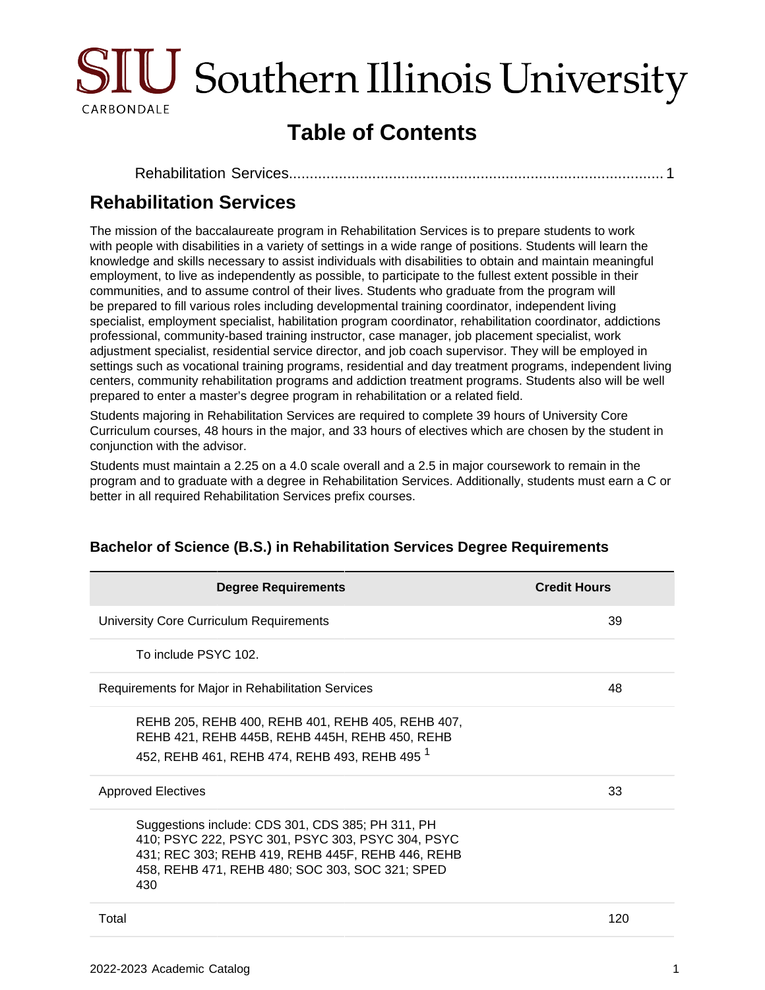

# **Table of Contents**

# <span id="page-0-0"></span>**Rehabilitation Services**

The mission of the baccalaureate program in Rehabilitation Services is to prepare students to work with people with disabilities in a variety of settings in a wide range of positions. Students will learn the knowledge and skills necessary to assist individuals with disabilities to obtain and maintain meaningful employment, to live as independently as possible, to participate to the fullest extent possible in their communities, and to assume control of their lives. Students who graduate from the program will be prepared to fill various roles including developmental training coordinator, independent living specialist, employment specialist, habilitation program coordinator, rehabilitation coordinator, addictions professional, community-based training instructor, case manager, job placement specialist, work adjustment specialist, residential service director, and job coach supervisor. They will be employed in settings such as vocational training programs, residential and day treatment programs, independent living centers, community rehabilitation programs and addiction treatment programs. Students also will be well prepared to enter a master's degree program in rehabilitation or a related field.

Students majoring in Rehabilitation Services are required to complete 39 hours of University Core Curriculum courses, 48 hours in the major, and 33 hours of electives which are chosen by the student in conjunction with the advisor.

Students must maintain a 2.25 on a 4.0 scale overall and a 2.5 in major coursework to remain in the program and to graduate with a degree in Rehabilitation Services. Additionally, students must earn a C or better in all required Rehabilitation Services prefix courses.

| <b>Degree Requirements</b>                                                                                                                                                                                            | <b>Credit Hours</b> |
|-----------------------------------------------------------------------------------------------------------------------------------------------------------------------------------------------------------------------|---------------------|
| University Core Curriculum Requirements                                                                                                                                                                               | 39                  |
| To include PSYC 102.                                                                                                                                                                                                  |                     |
| Requirements for Major in Rehabilitation Services                                                                                                                                                                     | 48                  |
| REHB 205, REHB 400, REHB 401, REHB 405, REHB 407,<br>REHB 421, REHB 445B, REHB 445H, REHB 450, REHB<br>452, REHB 461, REHB 474, REHB 493, REHB 495 <sup>1</sup>                                                       |                     |
| <b>Approved Electives</b>                                                                                                                                                                                             | 33                  |
| Suggestions include: CDS 301, CDS 385; PH 311, PH<br>410; PSYC 222, PSYC 301, PSYC 303, PSYC 304, PSYC<br>431; REC 303; REHB 419, REHB 445F, REHB 446, REHB<br>458, REHB 471, REHB 480; SOC 303, SOC 321; SPED<br>430 |                     |
| Total                                                                                                                                                                                                                 | 120                 |
|                                                                                                                                                                                                                       |                     |

#### **Bachelor of Science (B.S.) in Rehabilitation Services Degree Requirements**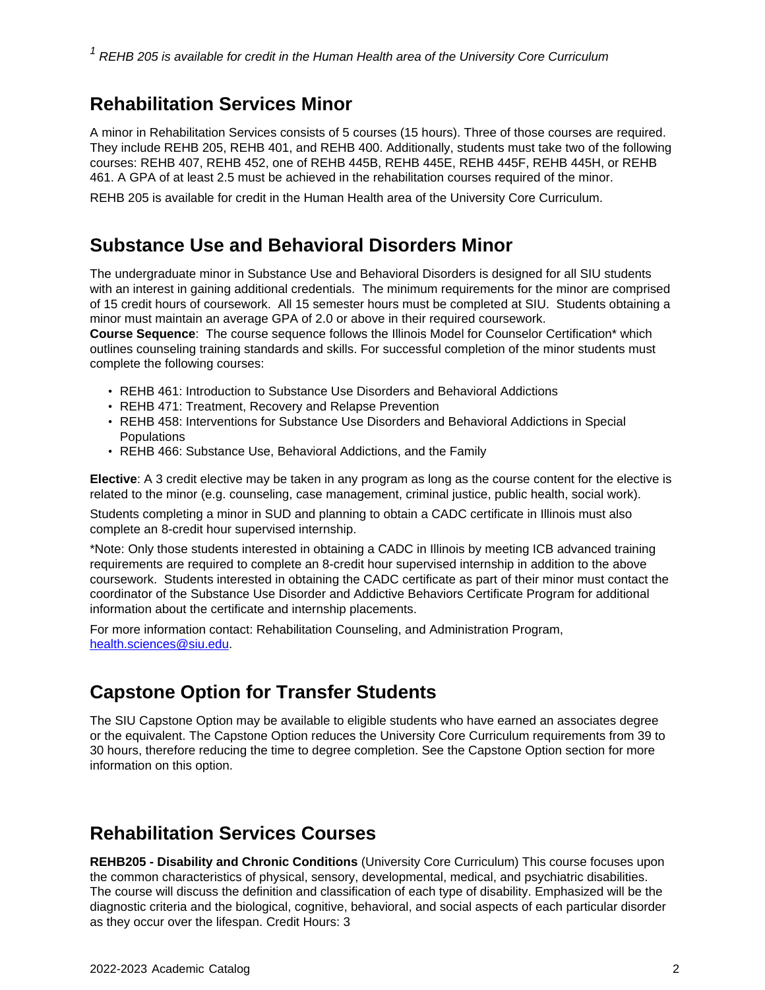### **Rehabilitation Services Minor**

A minor in Rehabilitation Services consists of 5 courses (15 hours). Three of those courses are required. They include REHB 205, REHB 401, and REHB 400. Additionally, students must take two of the following courses: REHB 407, REHB 452, one of REHB 445B, REHB 445E, REHB 445F, REHB 445H, or REHB 461. A GPA of at least 2.5 must be achieved in the rehabilitation courses required of the minor.

REHB 205 is available for credit in the Human Health area of the University Core Curriculum.

#### **Substance Use and Behavioral Disorders Minor**

The undergraduate minor in Substance Use and Behavioral Disorders is designed for all SIU students with an interest in gaining additional credentials. The minimum requirements for the minor are comprised of 15 credit hours of coursework. All 15 semester hours must be completed at SIU. Students obtaining a minor must maintain an average GPA of 2.0 or above in their required coursework.

**Course Sequence**: The course sequence follows the Illinois Model for Counselor Certification\* which outlines counseling training standards and skills. For successful completion of the minor students must complete the following courses:

- REHB 461: Introduction to Substance Use Disorders and Behavioral Addictions
- REHB 471: Treatment, Recovery and Relapse Prevention
- REHB 458: Interventions for Substance Use Disorders and Behavioral Addictions in Special **Populations**
- REHB 466: Substance Use, Behavioral Addictions, and the Family

**Elective**: A 3 credit elective may be taken in any program as long as the course content for the elective is related to the minor (e.g. counseling, case management, criminal justice, public health, social work).

Students completing a minor in SUD and planning to obtain a CADC certificate in Illinois must also complete an 8-credit hour supervised internship.

\*Note: Only those students interested in obtaining a CADC in Illinois by meeting ICB advanced training requirements are required to complete an 8-credit hour supervised internship in addition to the above coursework. Students interested in obtaining the CADC certificate as part of their minor must contact the coordinator of the Substance Use Disorder and Addictive Behaviors Certificate Program for additional information about the certificate and internship placements.

For more information contact: Rehabilitation Counseling, and Administration Program, [health.sciences@siu.edu](mailto:health.sciences@siu.edu).

## **Capstone Option for Transfer Students**

The SIU Capstone Option may be available to eligible students who have earned an associates degree or the equivalent. The Capstone Option reduces the University Core Curriculum requirements from 39 to 30 hours, therefore reducing the time to degree completion. See the Capstone Option section for more information on this option.

## **Rehabilitation Services Courses**

**REHB205 - Disability and Chronic Conditions** (University Core Curriculum) This course focuses upon the common characteristics of physical, sensory, developmental, medical, and psychiatric disabilities. The course will discuss the definition and classification of each type of disability. Emphasized will be the diagnostic criteria and the biological, cognitive, behavioral, and social aspects of each particular disorder as they occur over the lifespan. Credit Hours: 3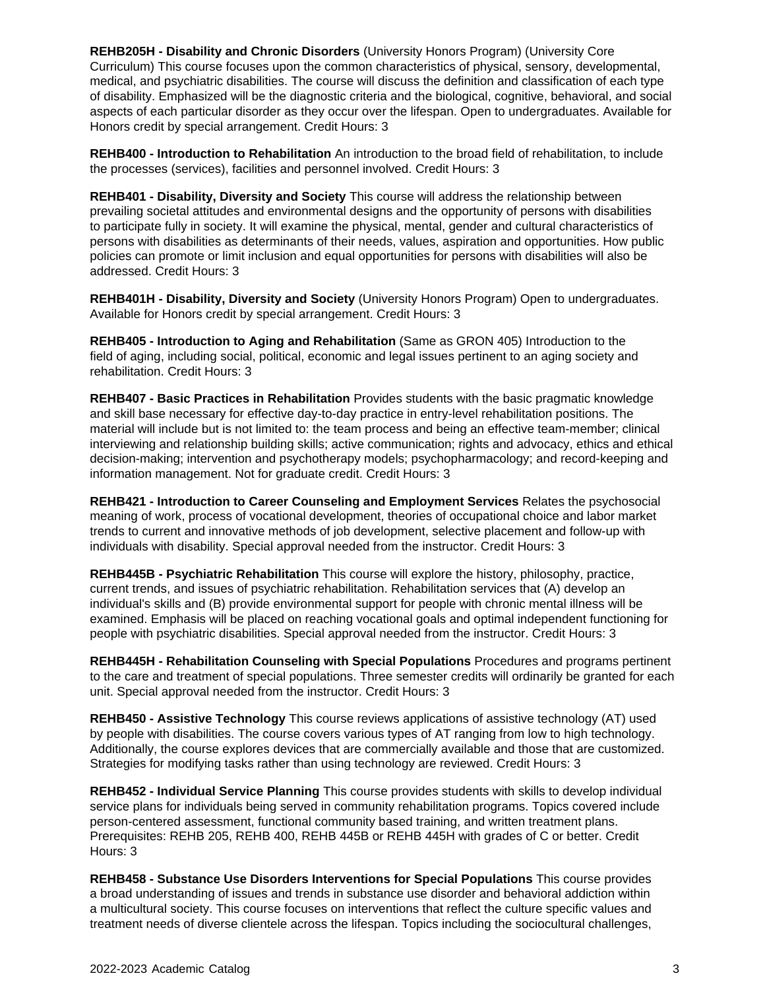**REHB205H - Disability and Chronic Disorders** (University Honors Program) (University Core Curriculum) This course focuses upon the common characteristics of physical, sensory, developmental, medical, and psychiatric disabilities. The course will discuss the definition and classification of each type of disability. Emphasized will be the diagnostic criteria and the biological, cognitive, behavioral, and social aspects of each particular disorder as they occur over the lifespan. Open to undergraduates. Available for Honors credit by special arrangement. Credit Hours: 3

**REHB400 - Introduction to Rehabilitation** An introduction to the broad field of rehabilitation, to include the processes (services), facilities and personnel involved. Credit Hours: 3

**REHB401 - Disability, Diversity and Society** This course will address the relationship between prevailing societal attitudes and environmental designs and the opportunity of persons with disabilities to participate fully in society. It will examine the physical, mental, gender and cultural characteristics of persons with disabilities as determinants of their needs, values, aspiration and opportunities. How public policies can promote or limit inclusion and equal opportunities for persons with disabilities will also be addressed. Credit Hours: 3

**REHB401H - Disability, Diversity and Society** (University Honors Program) Open to undergraduates. Available for Honors credit by special arrangement. Credit Hours: 3

**REHB405 - Introduction to Aging and Rehabilitation** (Same as GRON 405) Introduction to the field of aging, including social, political, economic and legal issues pertinent to an aging society and rehabilitation. Credit Hours: 3

**REHB407 - Basic Practices in Rehabilitation** Provides students with the basic pragmatic knowledge and skill base necessary for effective day-to-day practice in entry-level rehabilitation positions. The material will include but is not limited to: the team process and being an effective team-member; clinical interviewing and relationship building skills; active communication; rights and advocacy, ethics and ethical decision-making; intervention and psychotherapy models; psychopharmacology; and record-keeping and information management. Not for graduate credit. Credit Hours: 3

**REHB421 - Introduction to Career Counseling and Employment Services** Relates the psychosocial meaning of work, process of vocational development, theories of occupational choice and labor market trends to current and innovative methods of job development, selective placement and follow-up with individuals with disability. Special approval needed from the instructor. Credit Hours: 3

**REHB445B - Psychiatric Rehabilitation** This course will explore the history, philosophy, practice, current trends, and issues of psychiatric rehabilitation. Rehabilitation services that (A) develop an individual's skills and (B) provide environmental support for people with chronic mental illness will be examined. Emphasis will be placed on reaching vocational goals and optimal independent functioning for people with psychiatric disabilities. Special approval needed from the instructor. Credit Hours: 3

**REHB445H - Rehabilitation Counseling with Special Populations** Procedures and programs pertinent to the care and treatment of special populations. Three semester credits will ordinarily be granted for each unit. Special approval needed from the instructor. Credit Hours: 3

**REHB450 - Assistive Technology** This course reviews applications of assistive technology (AT) used by people with disabilities. The course covers various types of AT ranging from low to high technology. Additionally, the course explores devices that are commercially available and those that are customized. Strategies for modifying tasks rather than using technology are reviewed. Credit Hours: 3

**REHB452 - Individual Service Planning** This course provides students with skills to develop individual service plans for individuals being served in community rehabilitation programs. Topics covered include person-centered assessment, functional community based training, and written treatment plans. Prerequisites: REHB 205, REHB 400, REHB 445B or REHB 445H with grades of C or better. Credit Hours: 3

**REHB458 - Substance Use Disorders Interventions for Special Populations** This course provides a broad understanding of issues and trends in substance use disorder and behavioral addiction within a multicultural society. This course focuses on interventions that reflect the culture specific values and treatment needs of diverse clientele across the lifespan. Topics including the sociocultural challenges,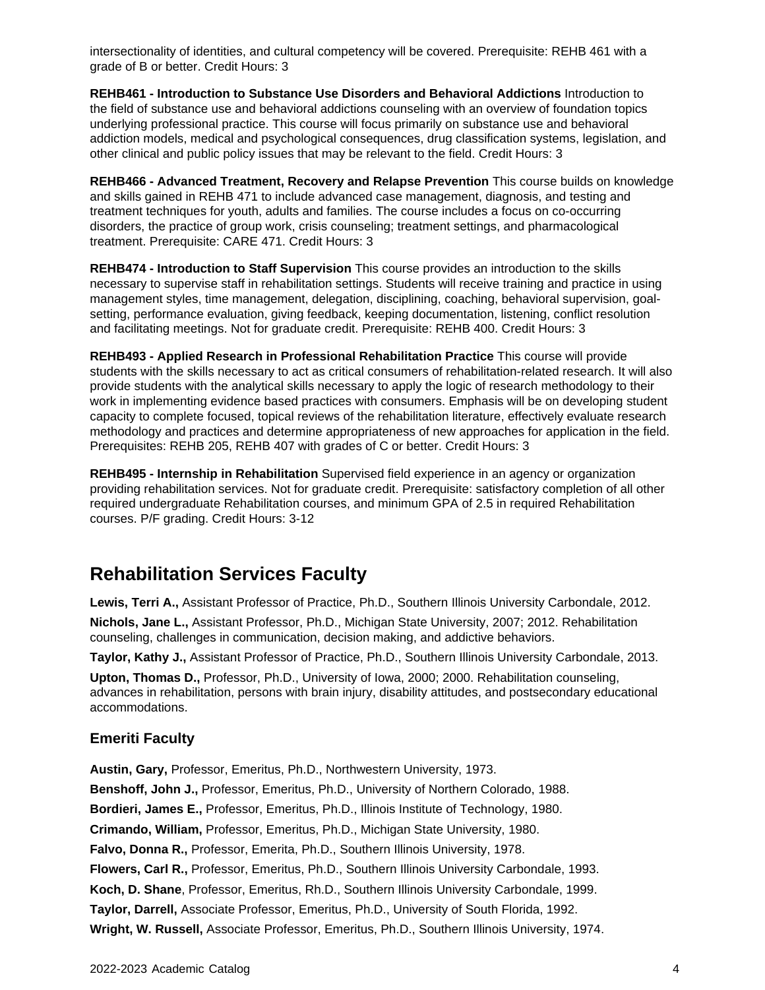intersectionality of identities, and cultural competency will be covered. Prerequisite: REHB 461 with a grade of B or better. Credit Hours: 3

**REHB461 - Introduction to Substance Use Disorders and Behavioral Addictions** Introduction to the field of substance use and behavioral addictions counseling with an overview of foundation topics underlying professional practice. This course will focus primarily on substance use and behavioral addiction models, medical and psychological consequences, drug classification systems, legislation, and other clinical and public policy issues that may be relevant to the field. Credit Hours: 3

**REHB466 - Advanced Treatment, Recovery and Relapse Prevention** This course builds on knowledge and skills gained in REHB 471 to include advanced case management, diagnosis, and testing and treatment techniques for youth, adults and families. The course includes a focus on co-occurring disorders, the practice of group work, crisis counseling; treatment settings, and pharmacological treatment. Prerequisite: CARE 471. Credit Hours: 3

**REHB474 - Introduction to Staff Supervision** This course provides an introduction to the skills necessary to supervise staff in rehabilitation settings. Students will receive training and practice in using management styles, time management, delegation, disciplining, coaching, behavioral supervision, goalsetting, performance evaluation, giving feedback, keeping documentation, listening, conflict resolution and facilitating meetings. Not for graduate credit. Prerequisite: REHB 400. Credit Hours: 3

**REHB493 - Applied Research in Professional Rehabilitation Practice** This course will provide students with the skills necessary to act as critical consumers of rehabilitation-related research. It will also provide students with the analytical skills necessary to apply the logic of research methodology to their work in implementing evidence based practices with consumers. Emphasis will be on developing student capacity to complete focused, topical reviews of the rehabilitation literature, effectively evaluate research methodology and practices and determine appropriateness of new approaches for application in the field. Prerequisites: REHB 205, REHB 407 with grades of C or better. Credit Hours: 3

**REHB495 - Internship in Rehabilitation** Supervised field experience in an agency or organization providing rehabilitation services. Not for graduate credit. Prerequisite: satisfactory completion of all other required undergraduate Rehabilitation courses, and minimum GPA of 2.5 in required Rehabilitation courses. P/F grading. Credit Hours: 3-12

## **Rehabilitation Services Faculty**

**Lewis, Terri A.,** Assistant Professor of Practice, Ph.D., Southern Illinois University Carbondale, 2012.

**Nichols, Jane L.,** Assistant Professor, Ph.D., Michigan State University, 2007; 2012. Rehabilitation counseling, challenges in communication, decision making, and addictive behaviors.

**Taylor, Kathy J.,** Assistant Professor of Practice, Ph.D., Southern Illinois University Carbondale, 2013.

**Upton, Thomas D.,** Professor, Ph.D., University of Iowa, 2000; 2000. Rehabilitation counseling, advances in rehabilitation, persons with brain injury, disability attitudes, and postsecondary educational accommodations.

#### **Emeriti Faculty**

**Austin, Gary,** Professor, Emeritus, Ph.D., Northwestern University, 1973. **Benshoff, John J.,** Professor, Emeritus, Ph.D., University of Northern Colorado, 1988. **Bordieri, James E.,** Professor, Emeritus, Ph.D., Illinois Institute of Technology, 1980. **Crimando, William,** Professor, Emeritus, Ph.D., Michigan State University, 1980. **Falvo, Donna R.,** Professor, Emerita, Ph.D., Southern Illinois University, 1978. **Flowers, Carl R.,** Professor, Emeritus, Ph.D., Southern Illinois University Carbondale, 1993. **Koch, D. Shane**, Professor, Emeritus, Rh.D., Southern Illinois University Carbondale, 1999. **Taylor, Darrell,** Associate Professor, Emeritus, Ph.D., University of South Florida, 1992. **Wright, W. Russell,** Associate Professor, Emeritus, Ph.D., Southern Illinois University, 1974.